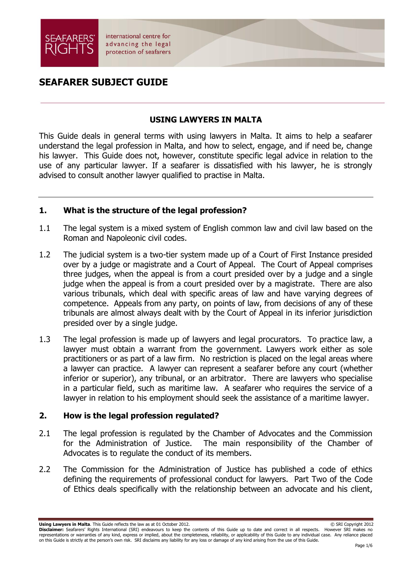

# **SEAFARER SUBJECT GUIDE**

### **USING LAWYERS IN MALTA**

This Guide deals in general terms with using lawyers in Malta. It aims to help a seafarer understand the legal profession in Malta, and how to select, engage, and if need be, change his lawyer. This Guide does not, however, constitute specific legal advice in relation to the use of any particular lawyer. If a seafarer is dissatisfied with his lawyer, he is strongly advised to consult another lawyer qualified to practise in Malta.

### **1. What is the structure of the legal profession?**

- 1.1 The legal system is a mixed system of English common law and civil law based on the Roman and Napoleonic civil codes.
- 1.2 The judicial system is a two-tier system made up of a Court of First Instance presided over by a judge or magistrate and a Court of Appeal. The Court of Appeal comprises three judges, when the appeal is from a court presided over by a judge and a single judge when the appeal is from a court presided over by a magistrate. There are also various tribunals, which deal with specific areas of law and have varying degrees of competence. Appeals from any party, on points of law, from decisions of any of these tribunals are almost always dealt with by the Court of Appeal in its inferior jurisdiction presided over by a single judge.
- 1.3 The legal profession is made up of lawyers and legal procurators. To practice law, a lawyer must obtain a warrant from the government. Lawyers work either as sole practitioners or as part of a law firm. No restriction is placed on the legal areas where a lawyer can practice. A lawyer can represent a seafarer before any court (whether inferior or superior), any tribunal, or an arbitrator. There are lawyers who specialise in a particular field, such as maritime law. A seafarer who requires the service of a lawyer in relation to his employment should seek the assistance of a maritime lawyer.

## **2. How is the legal profession regulated?**

- 2.1 The legal profession is regulated by the Chamber of Advocates and the Commission for the Administration of Justice. The main responsibility of the Chamber of Advocates is to regulate the conduct of its members.
- 2.2 The Commission for the Administration of Justice has published a code of ethics defining the requirements of professional conduct for lawyers. Part Two of the Code of Ethics deals specifically with the relationship between an advocate and his client,

**Using Lawyers in Malta**. This Guide reflects the law as at 01 October 2012. © SRI Copyright 2012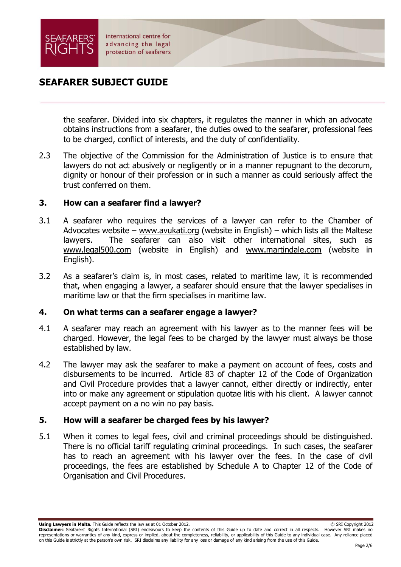

## **SEAFARER SUBJECT GUIDE**

the seafarer. Divided into six chapters, it regulates the manner in which an advocate obtains instructions from a seafarer, the duties owed to the seafarer, professional fees to be charged, conflict of interests, and the duty of confidentiality.

2.3 The objective of the Commission for the Administration of Justice is to ensure that lawyers do not act abusively or negligently or in a manner repugnant to the decorum, dignity or honour of their profession or in such a manner as could seriously affect the trust conferred on them.

### **3. How can a seafarer find a lawyer?**

- 3.1 A seafarer who requires the services of a lawyer can refer to the Chamber of Advocates website – [www.avukati.org](http://www.avukati.org/) (website in English) – which lists all the Maltese lawyers. The seafarer can also visit other international sites, such as www.legal500.com (website in English) and [www.martindale.com](http://www.martindale.com/) (website in English).
- 3.2 As a seafarer's claim is, in most cases, related to maritime law, it is recommended that, when engaging a lawyer, a seafarer should ensure that the lawyer specialises in maritime law or that the firm specialises in maritime law.

### **4. On what terms can a seafarer engage a lawyer?**

- 4.1 A seafarer may reach an agreement with his lawyer as to the manner fees will be charged. However, the legal fees to be charged by the lawyer must always be those established by law.
- 4.2 The lawyer may ask the seafarer to make a payment on account of fees, costs and disbursements to be incurred. Article 83 of chapter 12 of the Code of Organization and Civil Procedure provides that a lawyer cannot, either directly or indirectly, enter into or make any agreement or stipulation quotae litis with his client. A lawyer cannot accept payment on a no win no pay basis.

## **5. How will a seafarer be charged fees by his lawyer?**

5.1 When it comes to legal fees, civil and criminal proceedings should be distinguished. There is no official tariff regulating criminal proceedings. In such cases, the seafarer has to reach an agreement with his lawyer over the fees. In the case of civil proceedings, the fees are established by Schedule A to Chapter 12 of the Code of Organisation and Civil Procedures.

**Using Lawyers in Malta**. This Guide reflects the law as at 01 October 2012. © SRI Copyright 2012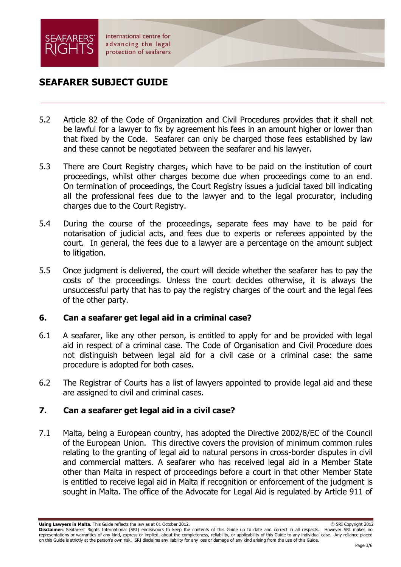

## **SEAFARER SUBJECT GUIDE**

- 5.2 Article 82 of the Code of Organization and Civil Procedures provides that it shall not be lawful for a lawyer to fix by agreement his fees in an amount higher or lower than that fixed by the Code. Seafarer can only be charged those fees established by law and these cannot be negotiated between the seafarer and his lawyer.
- 5.3 There are Court Registry charges, which have to be paid on the institution of court proceedings, whilst other charges become due when proceedings come to an end. On termination of proceedings, the Court Registry issues a judicial taxed bill indicating all the professional fees due to the lawyer and to the legal procurator, including charges due to the Court Registry.
- 5.4 During the course of the proceedings, separate fees may have to be paid for notarisation of judicial acts, and fees due to experts or referees appointed by the court. In general, the fees due to a lawyer are a percentage on the amount subject to litigation.
- 5.5 Once judgment is delivered, the court will decide whether the seafarer has to pay the costs of the proceedings. Unless the court decides otherwise, it is always the unsuccessful party that has to pay the registry charges of the court and the legal fees of the other party.

### **6. Can a seafarer get legal aid in a criminal case?**

- 6.1 A seafarer, like any other person, is entitled to apply for and be provided with legal aid in respect of a criminal case. The Code of Organisation and Civil Procedure does not distinguish between legal aid for a civil case or a criminal case: the same procedure is adopted for both cases.
- 6.2 The Registrar of Courts has a list of lawyers appointed to provide legal aid and these are assigned to civil and criminal cases.

## **7. Can a seafarer get legal aid in a civil case?**

7.1 Malta, being a European country, has adopted the Directive 2002/8/EC of the Council of the European Union. This directive covers the provision of minimum common rules relating to the granting of legal aid to natural persons in cross-border disputes in civil and commercial matters. A seafarer who has received legal aid in a Member State other than Malta in respect of proceedings before a court in that other Member State is entitled to receive legal aid in Malta if recognition or enforcement of the judgment is sought in Malta. The office of the Advocate for Legal Aid is regulated by Article 911 of

**Using Lawyers in Malta**. This Guide reflects the law as at 01 October 2012. © SRI Copyright 2012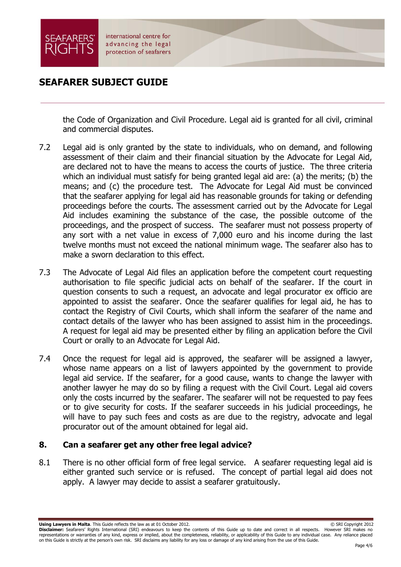

## **SEAFARER SUBJECT GUIDE**

the Code of Organization and Civil Procedure. Legal aid is granted for all civil, criminal and commercial disputes.

- 7.2 Legal aid is only granted by the state to individuals, who on demand, and following assessment of their claim and their financial situation by the Advocate for Legal Aid, are declared not to have the means to access the courts of justice. The three criteria which an individual must satisfy for being granted legal aid are: (a) the merits; (b) the means; and (c) the procedure test. The Advocate for Legal Aid must be convinced that the seafarer applying for legal aid has reasonable grounds for taking or defending proceedings before the courts. The assessment carried out by the Advocate for Legal Aid includes examining the substance of the case, the possible outcome of the proceedings, and the prospect of success. The seafarer must not possess property of any sort with a net value in excess of 7,000 euro and his income during the last twelve months must not exceed the national minimum wage. The seafarer also has to make a sworn declaration to this effect.
- 7.3 The Advocate of Legal Aid files an application before the competent court requesting authorisation to file specific judicial acts on behalf of the seafarer. If the court in question consents to such a request, an advocate and legal procurator ex officio are appointed to assist the seafarer. Once the seafarer qualifies for legal aid, he has to contact the Registry of Civil Courts, which shall inform the seafarer of the name and contact details of the lawyer who has been assigned to assist him in the proceedings. A request for legal aid may be presented either by filing an application before the Civil Court or orally to an Advocate for Legal Aid.
- 7.4 Once the request for legal aid is approved, the seafarer will be assigned a lawyer, whose name appears on a list of lawyers appointed by the government to provide legal aid service. If the seafarer, for a good cause, wants to change the lawyer with another lawyer he may do so by filing a request with the Civil Court. Legal aid covers only the costs incurred by the seafarer. The seafarer will not be requested to pay fees or to give security for costs. If the seafarer succeeds in his judicial proceedings, he will have to pay such fees and costs as are due to the registry, advocate and legal procurator out of the amount obtained for legal aid.

## **8. Can a seafarer get any other free legal advice?**

8.1 There is no other official form of free legal service. A seafarer requesting legal aid is either granted such service or is refused. The concept of partial legal aid does not apply. A lawyer may decide to assist a seafarer gratuitously.

**Using Lawyers in Malta**. This Guide reflects the law as at 01 October 2012. © SRI Copyright 2012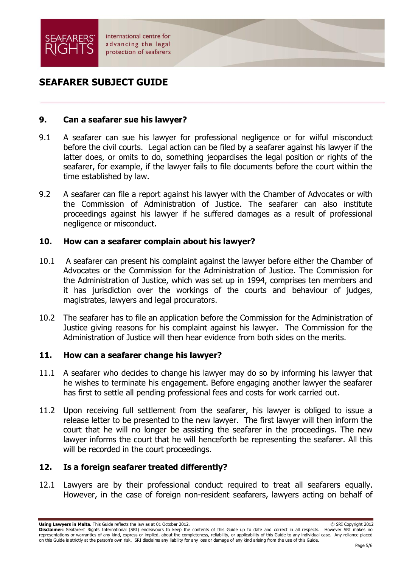

# **SEAFARER SUBJECT GUIDE**

### **9. Can a seafarer sue his lawyer?**

- 9.1 A seafarer can sue his lawyer for professional negligence or for wilful misconduct before the civil courts. Legal action can be filed by a seafarer against his lawyer if the latter does, or omits to do, something jeopardises the legal position or rights of the seafarer, for example, if the lawyer fails to file documents before the court within the time established by law.
- 9.2 A seafarer can file a report against his lawyer with the Chamber of Advocates or with the Commission of Administration of Justice. The seafarer can also institute proceedings against his lawyer if he suffered damages as a result of professional negligence or misconduct.

### **10. How can a seafarer complain about his lawyer?**

- 10.1 A seafarer can present his complaint against the lawyer before either the Chamber of Advocates or the Commission for the Administration of Justice. The Commission for the Administration of Justice, which was set up in 1994, comprises ten members and it has jurisdiction over the workings of the courts and behaviour of judges, magistrates, lawyers and legal procurators.
- 10.2 The seafarer has to file an application before the Commission for the Administration of Justice giving reasons for his complaint against his lawyer. The Commission for the Administration of Justice will then hear evidence from both sides on the merits.

### **11. How can a seafarer change his lawyer?**

- 11.1 A seafarer who decides to change his lawyer may do so by informing his lawyer that he wishes to terminate his engagement. Before engaging another lawyer the seafarer has first to settle all pending professional fees and costs for work carried out.
- 11.2 Upon receiving full settlement from the seafarer, his lawyer is obliged to issue a release letter to be presented to the new lawyer. The first lawyer will then inform the court that he will no longer be assisting the seafarer in the proceedings. The new lawyer informs the court that he will henceforth be representing the seafarer. All this will be recorded in the court proceedings.

### **12. Is a foreign seafarer treated differently?**

12.1 Lawyers are by their professional conduct required to treat all seafarers equally. However, in the case of foreign non-resident seafarers, lawyers acting on behalf of

**Using Lawyers in Malta**. This Guide reflects the law as at 01 October 2012. © SRI Copyright 2012